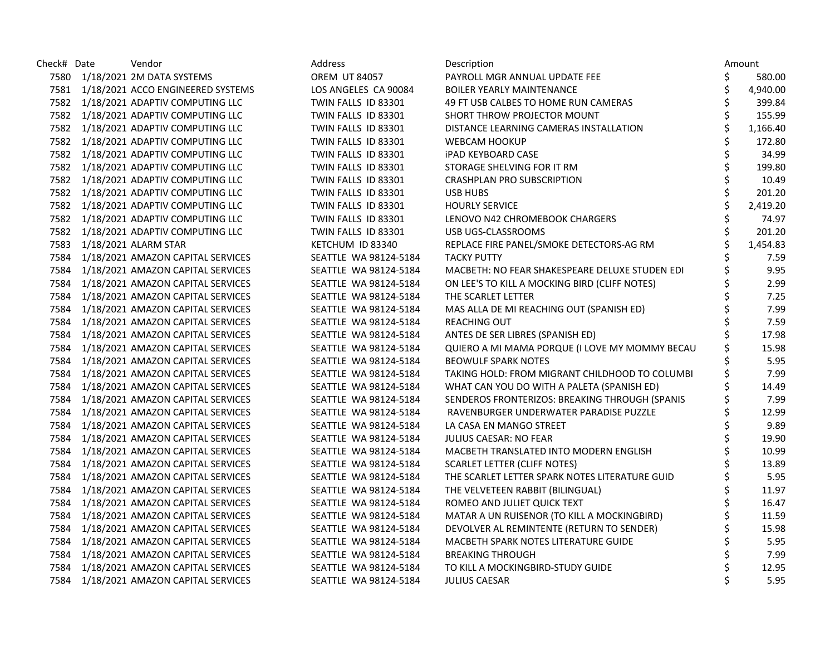| Check# Date | Vendor                                 | Address               | Description                                    |    | Amount   |
|-------------|----------------------------------------|-----------------------|------------------------------------------------|----|----------|
|             | 7580 1/18/2021 2M DATA SYSTEMS         | <b>OREM UT 84057</b>  | PAYROLL MGR ANNUAL UPDATE FEE                  | \$ | 580.00   |
|             | 7581 1/18/2021 ACCO ENGINEERED SYSTEMS | LOS ANGELES CA 90084  | <b>BOILER YEARLY MAINTENANCE</b>               | \$ | 4,940.00 |
|             | 7582 1/18/2021 ADAPTIV COMPUTING LLC   | TWIN FALLS ID 83301   | 49 FT USB CALBES TO HOME RUN CAMERAS           | \$ | 399.84   |
|             | 7582 1/18/2021 ADAPTIV COMPUTING LLC   | TWIN FALLS ID 83301   | SHORT THROW PROJECTOR MOUNT                    | \$ | 155.99   |
|             | 7582 1/18/2021 ADAPTIV COMPUTING LLC   | TWIN FALLS ID 83301   | DISTANCE LEARNING CAMERAS INSTALLATION         |    | 1,166.40 |
|             | 7582 1/18/2021 ADAPTIV COMPUTING LLC   | TWIN FALLS ID 83301   | <b>WEBCAM HOOKUP</b>                           |    | 172.80   |
|             | 7582 1/18/2021 ADAPTIV COMPUTING LLC   | TWIN FALLS ID 83301   | <b>iPAD KEYBOARD CASE</b>                      | \$ | 34.99    |
|             | 7582 1/18/2021 ADAPTIV COMPUTING LLC   | TWIN FALLS ID 83301   | STORAGE SHELVING FOR IT RM                     | \$ | 199.80   |
|             | 7582 1/18/2021 ADAPTIV COMPUTING LLC   | TWIN FALLS ID 83301   | <b>CRASHPLAN PRO SUBSCRIPTION</b>              | \$ | 10.49    |
|             | 7582 1/18/2021 ADAPTIV COMPUTING LLC   | TWIN FALLS ID 83301   | <b>USB HUBS</b>                                | \$ | 201.20   |
|             | 7582 1/18/2021 ADAPTIV COMPUTING LLC   | TWIN FALLS ID 83301   | <b>HOURLY SERVICE</b>                          |    | 2,419.20 |
|             | 7582 1/18/2021 ADAPTIV COMPUTING LLC   | TWIN FALLS ID 83301   | LENOVO N42 CHROMEBOOK CHARGERS                 |    | 74.97    |
|             | 7582 1/18/2021 ADAPTIV COMPUTING LLC   | TWIN FALLS ID 83301   | USB UGS-CLASSROOMS                             | \$ | 201.20   |
|             | 7583 1/18/2021 ALARM STAR              | KETCHUM ID 83340      | REPLACE FIRE PANEL/SMOKE DETECTORS-AG RM       | \$ | 1,454.83 |
|             | 7584 1/18/2021 AMAZON CAPITAL SERVICES | SEATTLE WA 98124-5184 | <b>TACKY PUTTY</b>                             | Ś  | 7.59     |
|             | 7584 1/18/2021 AMAZON CAPITAL SERVICES | SEATTLE WA 98124-5184 | MACBETH: NO FEAR SHAKESPEARE DELUXE STUDEN EDI | \$ | 9.95     |
|             | 7584 1/18/2021 AMAZON CAPITAL SERVICES | SEATTLE WA 98124-5184 | ON LEE'S TO KILL A MOCKING BIRD (CLIFF NOTES)  |    | 2.99     |
|             | 7584 1/18/2021 AMAZON CAPITAL SERVICES | SEATTLE WA 98124-5184 | THE SCARLET LETTER                             | \$ | 7.25     |
|             | 7584 1/18/2021 AMAZON CAPITAL SERVICES | SEATTLE WA 98124-5184 | MAS ALLA DE MI REACHING OUT (SPANISH ED)       | \$ | 7.99     |
|             | 7584 1/18/2021 AMAZON CAPITAL SERVICES | SEATTLE WA 98124-5184 | <b>REACHING OUT</b>                            | \$ | 7.59     |
|             | 7584 1/18/2021 AMAZON CAPITAL SERVICES | SEATTLE WA 98124-5184 | ANTES DE SER LIBRES (SPANISH ED)               | Ś  | 17.98    |
|             | 7584 1/18/2021 AMAZON CAPITAL SERVICES | SEATTLE WA 98124-5184 | QUIERO A MI MAMA PORQUE (I LOVE MY MOMMY BECAU | \$ | 15.98    |
|             | 7584 1/18/2021 AMAZON CAPITAL SERVICES | SEATTLE WA 98124-5184 | <b>BEOWULF SPARK NOTES</b>                     |    | 5.95     |
|             | 7584 1/18/2021 AMAZON CAPITAL SERVICES | SEATTLE WA 98124-5184 | TAKING HOLD: FROM MIGRANT CHILDHOOD TO COLUMBI | \$ | 7.99     |
| 7584        | 1/18/2021 AMAZON CAPITAL SERVICES      | SEATTLE WA 98124-5184 | WHAT CAN YOU DO WITH A PALETA (SPANISH ED)     | \$ | 14.49    |
|             | 7584 1/18/2021 AMAZON CAPITAL SERVICES | SEATTLE WA 98124-5184 | SENDEROS FRONTERIZOS: BREAKING THROUGH (SPANIS | \$ | 7.99     |
|             | 7584 1/18/2021 AMAZON CAPITAL SERVICES | SEATTLE WA 98124-5184 | RAVENBURGER UNDERWATER PARADISE PUZZLE         | \$ | 12.99    |
|             | 7584 1/18/2021 AMAZON CAPITAL SERVICES | SEATTLE WA 98124-5184 | LA CASA EN MANGO STREET                        | \$ | 9.89     |
|             | 7584 1/18/2021 AMAZON CAPITAL SERVICES | SEATTLE WA 98124-5184 | <b>JULIUS CAESAR: NO FEAR</b>                  | \$ | 19.90    |
|             | 7584 1/18/2021 AMAZON CAPITAL SERVICES | SEATTLE WA 98124-5184 | MACBETH TRANSLATED INTO MODERN ENGLISH         | \$ | 10.99    |
|             | 7584 1/18/2021 AMAZON CAPITAL SERVICES | SEATTLE WA 98124-5184 | <b>SCARLET LETTER (CLIFF NOTES)</b>            | Ś  | 13.89    |
| 7584        | 1/18/2021 AMAZON CAPITAL SERVICES      | SEATTLE WA 98124-5184 | THE SCARLET LETTER SPARK NOTES LITERATURE GUID | \$ | 5.95     |
|             | 7584 1/18/2021 AMAZON CAPITAL SERVICES | SEATTLE WA 98124-5184 | THE VELVETEEN RABBIT (BILINGUAL)               | \$ | 11.97    |
|             | 7584 1/18/2021 AMAZON CAPITAL SERVICES | SEATTLE WA 98124-5184 | ROMEO AND JULIET QUICK TEXT                    | \$ | 16.47    |
|             | 7584 1/18/2021 AMAZON CAPITAL SERVICES | SEATTLE WA 98124-5184 | MATAR A UN RUISENOR (TO KILL A MOCKINGBIRD)    | \$ | 11.59    |
|             | 7584 1/18/2021 AMAZON CAPITAL SERVICES | SEATTLE WA 98124-5184 | DEVOLVER AL REMINTENTE (RETURN TO SENDER)      | \$ | 15.98    |
| 7584        | 1/18/2021 AMAZON CAPITAL SERVICES      | SEATTLE WA 98124-5184 | MACBETH SPARK NOTES LITERATURE GUIDE           |    | 5.95     |
| 7584        | 1/18/2021 AMAZON CAPITAL SERVICES      | SEATTLE WA 98124-5184 | <b>BREAKING THROUGH</b>                        |    | 7.99     |
|             | 7584 1/18/2021 AMAZON CAPITAL SERVICES | SEATTLE WA 98124-5184 | TO KILL A MOCKINGBIRD-STUDY GUIDE              | \$ | 12.95    |
|             | 7584 1/18/2021 AMAZON CAPITAL SERVICES | SEATTLE WA 98124-5184 | <b>JULIUS CAESAR</b>                           |    | 5.95     |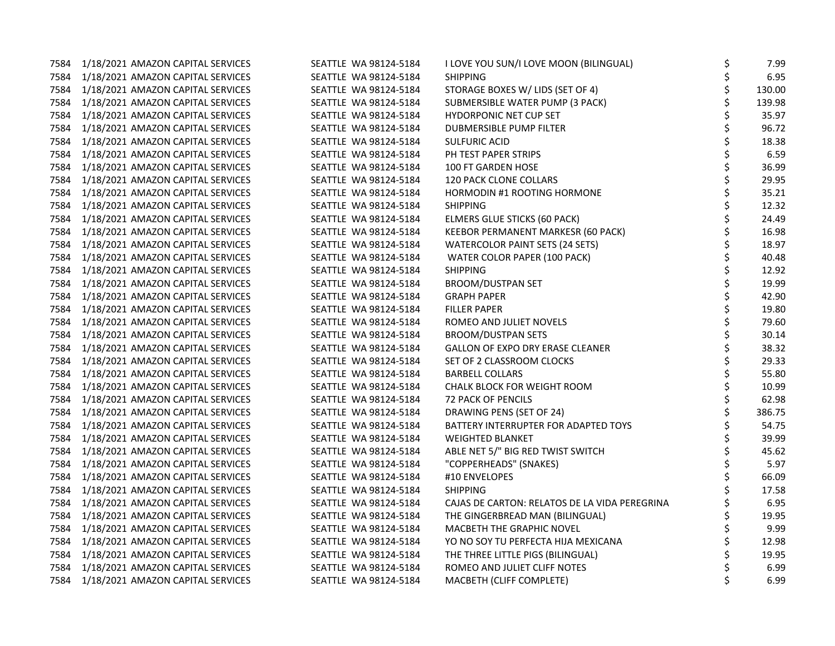| 7584 | 1/18/2021 AMAZON CAPITAL SERVICES      | SEATTLE WA 98124-5184 | I LOVE YOU SUN/I LOVE MOON (BILINGUAL)        | \$ | 7.99   |
|------|----------------------------------------|-----------------------|-----------------------------------------------|----|--------|
|      | 7584 1/18/2021 AMAZON CAPITAL SERVICES | SEATTLE WA 98124-5184 | <b>SHIPPING</b>                               | \$ | 6.95   |
| 7584 | 1/18/2021 AMAZON CAPITAL SERVICES      | SEATTLE WA 98124-5184 | STORAGE BOXES W/ LIDS (SET OF 4)              | \$ | 130.00 |
| 7584 | 1/18/2021 AMAZON CAPITAL SERVICES      | SEATTLE WA 98124-5184 | SUBMERSIBLE WATER PUMP (3 PACK)               | \$ | 139.98 |
| 7584 | 1/18/2021 AMAZON CAPITAL SERVICES      | SEATTLE WA 98124-5184 | <b>HYDORPONIC NET CUP SET</b>                 | \$ | 35.97  |
| 7584 | 1/18/2021 AMAZON CAPITAL SERVICES      | SEATTLE WA 98124-5184 | DUBMERSIBLE PUMP FILTER                       | \$ | 96.72  |
| 7584 | 1/18/2021 AMAZON CAPITAL SERVICES      | SEATTLE WA 98124-5184 | SULFURIC ACID                                 | \$ | 18.38  |
| 7584 | 1/18/2021 AMAZON CAPITAL SERVICES      | SEATTLE WA 98124-5184 | PH TEST PAPER STRIPS                          | \$ | 6.59   |
| 7584 | 1/18/2021 AMAZON CAPITAL SERVICES      | SEATTLE WA 98124-5184 | 100 FT GARDEN HOSE                            | \$ | 36.99  |
| 7584 | 1/18/2021 AMAZON CAPITAL SERVICES      | SEATTLE WA 98124-5184 | <b>120 PACK CLONE COLLARS</b>                 | \$ | 29.95  |
| 7584 | 1/18/2021 AMAZON CAPITAL SERVICES      | SEATTLE WA 98124-5184 | HORMODIN #1 ROOTING HORMONE                   | \$ | 35.21  |
| 7584 | 1/18/2021 AMAZON CAPITAL SERVICES      | SEATTLE WA 98124-5184 | <b>SHIPPING</b>                               | \$ | 12.32  |
| 7584 | 1/18/2021 AMAZON CAPITAL SERVICES      | SEATTLE WA 98124-5184 | ELMERS GLUE STICKS (60 PACK)                  | \$ | 24.49  |
| 7584 | 1/18/2021 AMAZON CAPITAL SERVICES      | SEATTLE WA 98124-5184 | KEEBOR PERMANENT MARKESR (60 PACK)            | \$ | 16.98  |
| 7584 | 1/18/2021 AMAZON CAPITAL SERVICES      | SEATTLE WA 98124-5184 | <b>WATERCOLOR PAINT SETS (24 SETS)</b>        | \$ | 18.97  |
| 7584 | 1/18/2021 AMAZON CAPITAL SERVICES      | SEATTLE WA 98124-5184 | WATER COLOR PAPER (100 PACK)                  | \$ | 40.48  |
| 7584 | 1/18/2021 AMAZON CAPITAL SERVICES      | SEATTLE WA 98124-5184 | <b>SHIPPING</b>                               | \$ | 12.92  |
| 7584 | 1/18/2021 AMAZON CAPITAL SERVICES      | SEATTLE WA 98124-5184 | <b>BROOM/DUSTPAN SET</b>                      | \$ | 19.99  |
| 7584 | 1/18/2021 AMAZON CAPITAL SERVICES      | SEATTLE WA 98124-5184 | <b>GRAPH PAPER</b>                            | \$ | 42.90  |
| 7584 | 1/18/2021 AMAZON CAPITAL SERVICES      | SEATTLE WA 98124-5184 | <b>FILLER PAPER</b>                           | \$ | 19.80  |
| 7584 | 1/18/2021 AMAZON CAPITAL SERVICES      | SEATTLE WA 98124-5184 | ROMEO AND JULIET NOVELS                       | \$ | 79.60  |
| 7584 | 1/18/2021 AMAZON CAPITAL SERVICES      | SEATTLE WA 98124-5184 | <b>BROOM/DUSTPAN SETS</b>                     | \$ | 30.14  |
| 7584 | 1/18/2021 AMAZON CAPITAL SERVICES      | SEATTLE WA 98124-5184 | <b>GALLON OF EXPO DRY ERASE CLEANER</b>       | \$ | 38.32  |
| 7584 | 1/18/2021 AMAZON CAPITAL SERVICES      | SEATTLE WA 98124-5184 | SET OF 2 CLASSROOM CLOCKS                     | \$ | 29.33  |
| 7584 | 1/18/2021 AMAZON CAPITAL SERVICES      | SEATTLE WA 98124-5184 | <b>BARBELL COLLARS</b>                        | \$ | 55.80  |
| 7584 | 1/18/2021 AMAZON CAPITAL SERVICES      | SEATTLE WA 98124-5184 | CHALK BLOCK FOR WEIGHT ROOM                   | \$ | 10.99  |
| 7584 | 1/18/2021 AMAZON CAPITAL SERVICES      | SEATTLE WA 98124-5184 | <b>72 PACK OF PENCILS</b>                     | \$ | 62.98  |
| 7584 | 1/18/2021 AMAZON CAPITAL SERVICES      | SEATTLE WA 98124-5184 | DRAWING PENS (SET OF 24)                      | \$ | 386.75 |
| 7584 | 1/18/2021 AMAZON CAPITAL SERVICES      | SEATTLE WA 98124-5184 | BATTERY INTERRUPTER FOR ADAPTED TOYS          | \$ | 54.75  |
|      | 7584 1/18/2021 AMAZON CAPITAL SERVICES | SEATTLE WA 98124-5184 | <b>WEIGHTED BLANKET</b>                       | \$ | 39.99  |
| 7584 | 1/18/2021 AMAZON CAPITAL SERVICES      | SEATTLE WA 98124-5184 | ABLE NET 5/" BIG RED TWIST SWITCH             | \$ | 45.62  |
| 7584 | 1/18/2021 AMAZON CAPITAL SERVICES      | SEATTLE WA 98124-5184 | "COPPERHEADS" (SNAKES)                        | \$ | 5.97   |
| 7584 | 1/18/2021 AMAZON CAPITAL SERVICES      | SEATTLE WA 98124-5184 | #10 ENVELOPES                                 | \$ | 66.09  |
| 7584 | 1/18/2021 AMAZON CAPITAL SERVICES      | SEATTLE WA 98124-5184 | <b>SHIPPING</b>                               | Ś  | 17.58  |
| 7584 | 1/18/2021 AMAZON CAPITAL SERVICES      | SEATTLE WA 98124-5184 | CAJAS DE CARTON: RELATOS DE LA VIDA PEREGRINA | \$ | 6.95   |
| 7584 | 1/18/2021 AMAZON CAPITAL SERVICES      | SEATTLE WA 98124-5184 | THE GINGERBREAD MAN (BILINGUAL)               | \$ | 19.95  |
| 7584 | 1/18/2021 AMAZON CAPITAL SERVICES      | SEATTLE WA 98124-5184 | MACBETH THE GRAPHIC NOVEL                     | \$ | 9.99   |
| 7584 | 1/18/2021 AMAZON CAPITAL SERVICES      | SEATTLE WA 98124-5184 | YO NO SOY TU PERFECTA HIJA MEXICANA           | \$ | 12.98  |
| 7584 | 1/18/2021 AMAZON CAPITAL SERVICES      | SEATTLE WA 98124-5184 | THE THREE LITTLE PIGS (BILINGUAL)             | \$ | 19.95  |
| 7584 | 1/18/2021 AMAZON CAPITAL SERVICES      | SEATTLE WA 98124-5184 | ROMEO AND JULIET CLIFF NOTES                  | \$ | 6.99   |
| 7584 | 1/18/2021 AMAZON CAPITAL SERVICES      | SEATTLE WA 98124-5184 | MACBETH (CLIFF COMPLETE)                      | \$ | 6.99   |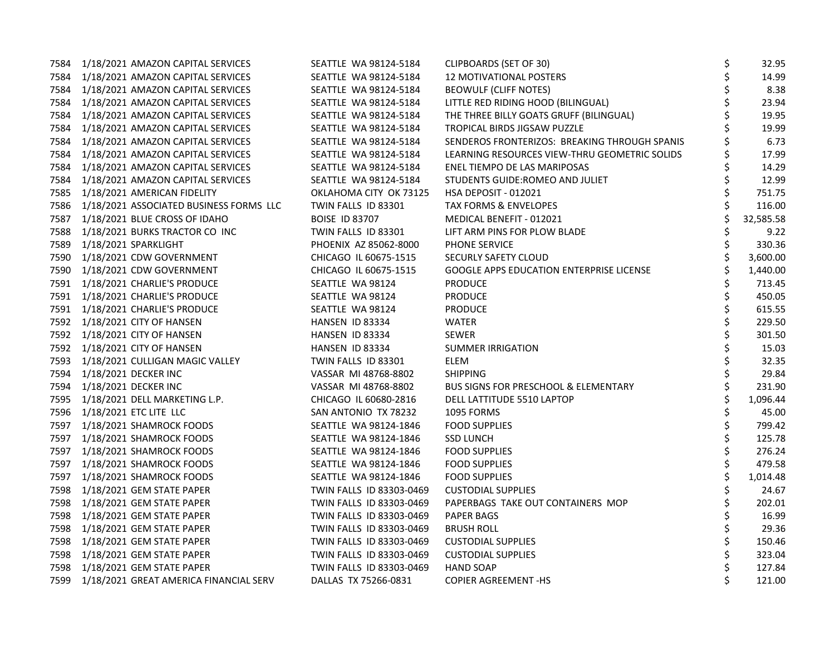| 7584 | 1/18/2021 AMAZON CAPITAL SERVICES            | SEATTLE WA 98124-5184    | <b>CLIPBOARDS (SET OF 30)</b>                   | \$<br>32.95     |
|------|----------------------------------------------|--------------------------|-------------------------------------------------|-----------------|
|      | 7584 1/18/2021 AMAZON CAPITAL SERVICES       | SEATTLE WA 98124-5184    | 12 MOTIVATIONAL POSTERS                         | \$<br>14.99     |
| 7584 | 1/18/2021 AMAZON CAPITAL SERVICES            | SEATTLE WA 98124-5184    | <b>BEOWULF (CLIFF NOTES)</b>                    | \$<br>8.38      |
| 7584 | 1/18/2021 AMAZON CAPITAL SERVICES            | SEATTLE WA 98124-5184    | LITTLE RED RIDING HOOD (BILINGUAL)              | \$<br>23.94     |
|      | 7584 1/18/2021 AMAZON CAPITAL SERVICES       | SEATTLE WA 98124-5184    | THE THREE BILLY GOATS GRUFF (BILINGUAL)         | \$<br>19.95     |
|      | 7584 1/18/2021 AMAZON CAPITAL SERVICES       | SEATTLE WA 98124-5184    | TROPICAL BIRDS JIGSAW PUZZLE                    | 19.99           |
|      | 7584 1/18/2021 AMAZON CAPITAL SERVICES       | SEATTLE WA 98124-5184    | SENDEROS FRONTERIZOS: BREAKING THROUGH SPANIS   | 6.73            |
| 7584 | 1/18/2021 AMAZON CAPITAL SERVICES            | SEATTLE WA 98124-5184    | LEARNING RESOURCES VIEW-THRU GEOMETRIC SOLIDS   | 17.99           |
| 7584 | 1/18/2021 AMAZON CAPITAL SERVICES            | SEATTLE WA 98124-5184    | ENEL TIEMPO DE LAS MARIPOSAS                    | \$<br>14.29     |
| 7584 | 1/18/2021 AMAZON CAPITAL SERVICES            | SEATTLE WA 98124-5184    | STUDENTS GUIDE:ROMEO AND JULIET                 | \$<br>12.99     |
|      | 7585 1/18/2021 AMERICAN FIDELITY             | OKLAHOMA CITY OK 73125   | HSA DEPOSIT - 012021                            | \$<br>751.75    |
|      | 7586 1/18/2021 ASSOCIATED BUSINESS FORMS LLC | TWIN FALLS ID 83301      | TAX FORMS & ENVELOPES                           | \$<br>116.00    |
|      | 7587 1/18/2021 BLUE CROSS OF IDAHO           | <b>BOISE ID 83707</b>    | MEDICAL BENEFIT - 012021                        | \$<br>32,585.58 |
| 7588 | 1/18/2021 BURKS TRACTOR CO INC               | TWIN FALLS ID 83301      | LIFT ARM PINS FOR PLOW BLADE                    | \$<br>9.22      |
| 7589 | 1/18/2021 SPARKLIGHT                         | PHOENIX AZ 85062-8000    | PHONE SERVICE                                   | \$<br>330.36    |
|      | 7590 1/18/2021 CDW GOVERNMENT                | CHICAGO IL 60675-1515    | SECURLY SAFETY CLOUD                            | 3,600.00        |
|      | 7590 1/18/2021 CDW GOVERNMENT                | CHICAGO IL 60675-1515    | GOOGLE APPS EDUCATION ENTERPRISE LICENSE        | 1,440.00        |
|      | 7591 1/18/2021 CHARLIE'S PRODUCE             | SEATTLE WA 98124         | <b>PRODUCE</b>                                  | 713.45          |
|      | 7591 1/18/2021 CHARLIE'S PRODUCE             | SEATTLE WA 98124         | <b>PRODUCE</b>                                  | \$<br>450.05    |
|      | 7591 1/18/2021 CHARLIE'S PRODUCE             | SEATTLE WA 98124         | <b>PRODUCE</b>                                  | \$<br>615.55    |
|      | 7592 1/18/2021 CITY OF HANSEN                | HANSEN ID 83334          | <b>WATER</b>                                    | \$<br>229.50    |
|      | 7592 1/18/2021 CITY OF HANSEN                | HANSEN ID 83334          | <b>SEWER</b>                                    | \$<br>301.50    |
|      | 7592 1/18/2021 CITY OF HANSEN                | HANSEN ID 83334          | <b>SUMMER IRRIGATION</b>                        | \$<br>15.03     |
|      | 7593 1/18/2021 CULLIGAN MAGIC VALLEY         | TWIN FALLS ID 83301      | ELEM                                            | \$<br>32.35     |
|      | 7594 1/18/2021 DECKER INC                    | VASSAR MI 48768-8802     | <b>SHIPPING</b>                                 | \$<br>29.84     |
|      | 7594 1/18/2021 DECKER INC                    | VASSAR MI 48768-8802     | <b>BUS SIGNS FOR PRESCHOOL &amp; ELEMENTARY</b> | \$<br>231.90    |
|      | 7595 1/18/2021 DELL MARKETING L.P.           | CHICAGO IL 60680-2816    | DELL LATTITUDE 5510 LAPTOP                      | \$<br>1,096.44  |
|      | 7596 1/18/2021 ETC LITE LLC                  | SAN ANTONIO TX 78232     | 1095 FORMS                                      | \$<br>45.00     |
|      | 7597 1/18/2021 SHAMROCK FOODS                | SEATTLE WA 98124-1846    | <b>FOOD SUPPLIES</b>                            | \$<br>799.42    |
|      | 7597 1/18/2021 SHAMROCK FOODS                | SEATTLE WA 98124-1846    | <b>SSD LUNCH</b>                                | \$<br>125.78    |
|      | 7597 1/18/2021 SHAMROCK FOODS                | SEATTLE WA 98124-1846    | <b>FOOD SUPPLIES</b>                            | \$<br>276.24    |
| 7597 | 1/18/2021 SHAMROCK FOODS                     | SEATTLE WA 98124-1846    | <b>FOOD SUPPLIES</b>                            | \$<br>479.58    |
| 7597 | 1/18/2021 SHAMROCK FOODS                     | SEATTLE WA 98124-1846    | <b>FOOD SUPPLIES</b>                            | \$<br>1,014.48  |
| 7598 | 1/18/2021 GEM STATE PAPER                    | TWIN FALLS ID 83303-0469 | <b>CUSTODIAL SUPPLIES</b>                       | \$<br>24.67     |
|      | 7598 1/18/2021 GEM STATE PAPER               | TWIN FALLS ID 83303-0469 | PAPERBAGS TAKE OUT CONTAINERS MOP               | \$<br>202.01    |
|      | 7598 1/18/2021 GEM STATE PAPER               | TWIN FALLS ID 83303-0469 | <b>PAPER BAGS</b>                               | 16.99           |
|      | 7598 1/18/2021 GEM STATE PAPER               | TWIN FALLS ID 83303-0469 | <b>BRUSH ROLL</b>                               | \$<br>29.36     |
| 7598 | 1/18/2021 GEM STATE PAPER                    | TWIN FALLS ID 83303-0469 | <b>CUSTODIAL SUPPLIES</b>                       | \$<br>150.46    |
|      | 7598 1/18/2021 GEM STATE PAPER               | TWIN FALLS ID 83303-0469 | <b>CUSTODIAL SUPPLIES</b>                       | \$<br>323.04    |
|      | 7598 1/18/2021 GEM STATE PAPER               | TWIN FALLS ID 83303-0469 | <b>HAND SOAP</b>                                | \$<br>127.84    |
|      | 7599 1/18/2021 GREAT AMERICA FINANCIAL SERV  | DALLAS TX 75266-0831     | <b>COPIER AGREEMENT-HS</b>                      | \$<br>121.00    |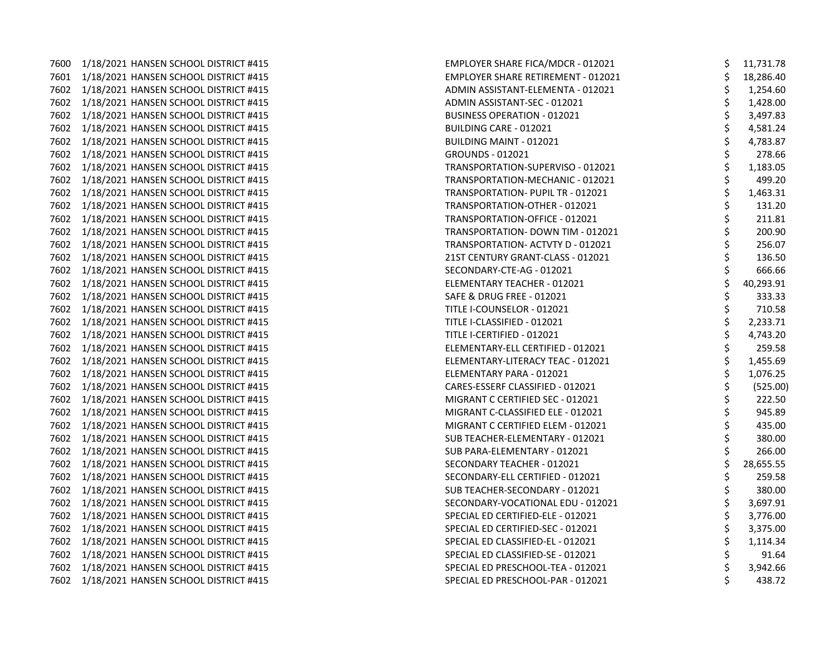7600 1/18/2021 HANSEN SCHOOL DISTRICT #415 7601 1/18/2021 HANSEN SCHOOL DISTRICT #415 7602 1/18/2021 HANSEN SCHOOL DISTRICT #415 7602 1/18/2021 HANSEN SCHOOL DISTRICT #415 7602 1/18/2021 HANSEN SCHOOL DISTRICT #415 7602 1/18/2021 HANSEN SCHOOL DISTRICT #415 7602 1/18/2021 HANSEN SCHOOL DISTRICT #415 7602 1/18/2021 HANSEN SCHOOL DISTRICT #415 7602 1/18/2021 HANSEN SCHOOL DISTRICT #415 7602 1/18/2021 HANSEN SCHOOL DISTRICT #415 7602 1/18/2021 HANSEN SCHOOL DISTRICT #415 7602 1/18/2021 HANSEN SCHOOL DISTRICT #415 7602 1/18/2021 HANSEN SCHOOL DISTRICT #415 7602 1/18/2021 HANSEN SCHOOL DISTRICT #415 7602 1/18/2021 HANSEN SCHOOL DISTRICT #415 7602 1/18/2021 HANSEN SCHOOL DISTRICT #415 7602 1/18/2021 HANSEN SCHOOL DISTRICT #415 7602 1/18/2021 HANSEN SCHOOL DISTRICT #415 7602 1/18/2021 HANSEN SCHOOL DISTRICT #415 7602 1/18/2021 HANSEN SCHOOL DISTRICT #415 7602 1/18/2021 HANSEN SCHOOL DISTRICT #415 7602 1/18/2021 HANSEN SCHOOL DISTRICT #415 7602 1/18/2021 HANSEN SCHOOL DISTRICT #415 7602 1/18/2021 HANSEN SCHOOL DISTRICT #415 7602 1/18/2021 HANSEN SCHOOL DISTRICT #415 7602 1/18/2021 HANSEN SCHOOL DISTRICT #415 7602 1/18/2021 HANSEN SCHOOL DISTRICT #415 7602 1/18/2021 HANSEN SCHOOL DISTRICT #415 7602 1/18/2021 HANSEN SCHOOL DISTRICT #415 7602 1/18/2021 HANSEN SCHOOL DISTRICT #415 7602 1/18/2021 HANSEN SCHOOL DISTRICT #415 7602 1/18/2021 HANSEN SCHOOL DISTRICT #415 7602 1/18/2021 HANSEN SCHOOL DISTRICT #415 7602 1/18/2021 HANSEN SCHOOL DISTRICT #415 7602 1/18/2021 HANSEN SCHOOL DISTRICT #415 7602 1/18/2021 HANSEN SCHOOL DISTRICT #415 7602 1/18/2021 HANSEN SCHOOL DISTRICT #415 7602 1/18/2021 HANSEN SCHOOL DISTRICT #415 7602 1/18/2021 HANSEN SCHOOL DISTRICT #415 7602 1/18/2021 HANSEN SCHOOL DISTRICT #415 7602 1/18/2021 HANSEN SCHOOL DISTRICT #415

| EMPLOYER SHARE FICA/MDCR - 012021         | Ş                     | 11,731.78 |
|-------------------------------------------|-----------------------|-----------|
| <b>EMPLOYER SHARE RETIREMENT - 012021</b> |                       | 18,286.40 |
| ADMIN ASSISTANT-ELEMENTA - 012021         | \$\$\$                | 1,254.60  |
| ADMIN ASSISTANT-SEC - 012021              |                       | 1,428.00  |
| <b>BUSINESS OPERATION - 012021</b>        |                       | 3,497.83  |
| <b>BUILDING CARE - 012021</b>             |                       | 4,581.24  |
| <b>BUILDING MAINT - 012021</b>            | ややや やや                | 4,783.87  |
| <b>GROUNDS - 012021</b>                   |                       | 278.66    |
| TRANSPORTATION-SUPERVISO - 012021         |                       | 1,183.05  |
| TRANSPORTATION-MECHANIC - 012021          |                       | 499.20    |
| TRANSPORTATION- PUPIL TR - 012021         |                       | 1,463.31  |
| TRANSPORTATION-OTHER - 012021             |                       | 131.20    |
| TRANSPORTATION-OFFICE - 012021            |                       | 211.81    |
| TRANSPORTATION- DOWN TIM - 012021         |                       | 200.90    |
| TRANSPORTATION- ACTVTY D - 012021         |                       | 256.07    |
| 21ST CENTURY GRANT-CLASS - 012021         |                       | 136.50    |
| SECONDARY-CTE-AG - 012021                 |                       | 666.66    |
| ELEMENTARY TEACHER - 012021               |                       | 40,293.91 |
| SAFE & DRUG FREE - 012021                 |                       | 333.33    |
| TITLE I-COUNSELOR - 012021                |                       | 710.58    |
| TITLE I-CLASSIFIED - 012021               |                       | 2,233.71  |
| TITLE I-CERTIFIED - 012021                | ささそうさそうさうさうさうさうさうさうさう | 4,743.20  |
| ELEMENTARY-ELL CERTIFIED - 012021         |                       | 259.58    |
| ELEMENTARY-LITERACY TEAC - 012021         |                       | 1,455.69  |
| ELEMENTARY PARA - 012021                  |                       | 1,076.25  |
| CARES-ESSERF CLASSIFIED - 012021          |                       | (525.00)  |
| MIGRANT C CERTIFIED SEC - 012021          |                       | 222.50    |
| MIGRANT C-CLASSIFIED ELE - 012021         |                       | 945.89    |
| MIGRANT C CERTIFIED ELEM - 012021         |                       | 435.00    |
| SUB TEACHER-ELEMENTARY - 012021           |                       | 380.00    |
| SUB PARA-ELEMENTARY - 012021              |                       | 266.00    |
| SECONDARY TEACHER - 012021                |                       | 28,655.55 |
| SECONDARY-ELL CERTIFIED - 012021          |                       | 259.58    |
| SUB TEACHER-SECONDARY - 012021            | ちゃやちゃ                 | 380.00    |
| SECONDARY-VOCATIONAL EDU - 012021         |                       | 3,697.91  |
| SPECIAL ED CERTIFIED-ELE - 012021         |                       | 3,776.00  |
| SPECIAL ED CERTIFIED-SEC - 012021         |                       | 3,375.00  |
| SPECIAL ED CLASSIFIED-EL - 012021         |                       | 1,114.34  |
| SPECIAL ED CLASSIFIED-SE - 012021         |                       | 91.64     |
| SPECIAL ED PRESCHOOL-TEA - 012021         | \$<br>\$              | 3,942.66  |
| SPECIAL ED PRESCHOOL-PAR - 012021         |                       | 438.72    |
|                                           |                       |           |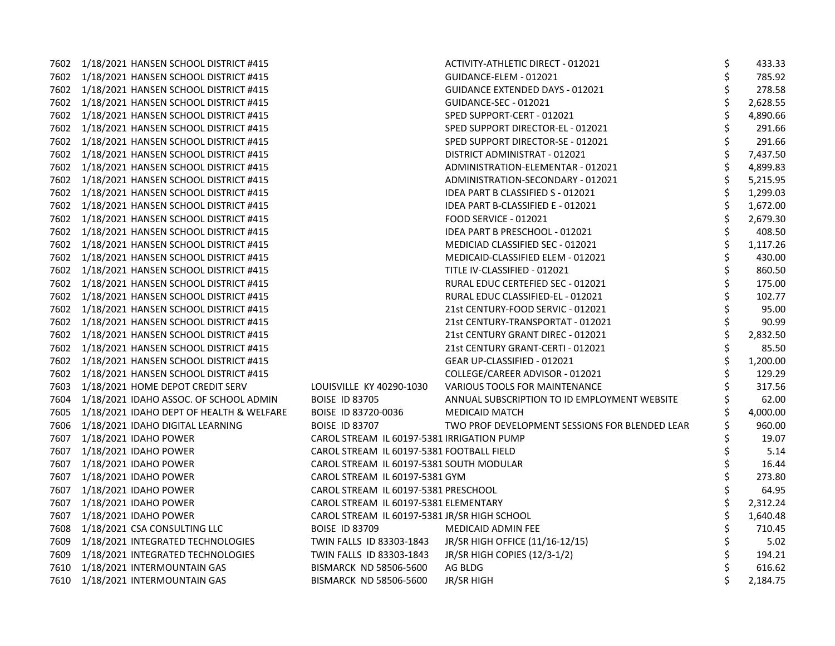|      | 7602 1/18/2021 HANSEN SCHOOL DISTRICT #415 |                                              | ACTIVITY-ATHLETIC DIRECT - 012021              | \$ | 433.33   |
|------|--------------------------------------------|----------------------------------------------|------------------------------------------------|----|----------|
|      | 7602 1/18/2021 HANSEN SCHOOL DISTRICT #415 |                                              | GUIDANCE-ELEM - 012021                         | \$ | 785.92   |
|      | 7602 1/18/2021 HANSEN SCHOOL DISTRICT #415 |                                              | <b>GUIDANCE EXTENDED DAYS - 012021</b>         | \$ | 278.58   |
|      | 7602 1/18/2021 HANSEN SCHOOL DISTRICT #415 |                                              | GUIDANCE-SEC - 012021                          |    | 2,628.55 |
|      | 7602 1/18/2021 HANSEN SCHOOL DISTRICT #415 |                                              | SPED SUPPORT-CERT - 012021                     | \$ | 4,890.66 |
|      | 7602 1/18/2021 HANSEN SCHOOL DISTRICT #415 |                                              | SPED SUPPORT DIRECTOR-EL - 012021              | \$ | 291.66   |
|      | 7602 1/18/2021 HANSEN SCHOOL DISTRICT #415 |                                              | SPED SUPPORT DIRECTOR-SE - 012021              | \$ | 291.66   |
|      | 7602 1/18/2021 HANSEN SCHOOL DISTRICT #415 |                                              | DISTRICT ADMINISTRAT - 012021                  | \$ | 7,437.50 |
|      | 7602 1/18/2021 HANSEN SCHOOL DISTRICT #415 |                                              | ADMINISTRATION-ELEMENTAR - 012021              | \$ | 4,899.83 |
|      | 7602 1/18/2021 HANSEN SCHOOL DISTRICT #415 |                                              | ADMINISTRATION-SECONDARY - 012021              | \$ | 5,215.95 |
| 7602 | 1/18/2021 HANSEN SCHOOL DISTRICT #415      |                                              | IDEA PART B CLASSIFIED S - 012021              | \$ | 1,299.03 |
|      | 7602 1/18/2021 HANSEN SCHOOL DISTRICT #415 |                                              | IDEA PART B-CLASSIFIED E - 012021              | \$ | 1,672.00 |
|      | 7602 1/18/2021 HANSEN SCHOOL DISTRICT #415 |                                              | FOOD SERVICE - 012021                          | \$ | 2,679.30 |
|      | 7602 1/18/2021 HANSEN SCHOOL DISTRICT #415 |                                              | IDEA PART B PRESCHOOL - 012021                 | \$ | 408.50   |
|      | 7602 1/18/2021 HANSEN SCHOOL DISTRICT #415 |                                              | MEDICIAD CLASSIFIED SEC - 012021               | \$ | 1,117.26 |
|      | 7602 1/18/2021 HANSEN SCHOOL DISTRICT #415 |                                              | MEDICAID-CLASSIFIED ELEM - 012021              | \$ | 430.00   |
| 7602 | 1/18/2021 HANSEN SCHOOL DISTRICT #415      |                                              | TITLE IV-CLASSIFIED - 012021                   | \$ | 860.50   |
|      | 7602 1/18/2021 HANSEN SCHOOL DISTRICT #415 |                                              | RURAL EDUC CERTEFIED SEC - 012021              | \$ | 175.00   |
|      | 7602 1/18/2021 HANSEN SCHOOL DISTRICT #415 |                                              | RURAL EDUC CLASSIFIED-EL - 012021              | \$ | 102.77   |
|      | 7602 1/18/2021 HANSEN SCHOOL DISTRICT #415 |                                              | 21st CENTURY-FOOD SERVIC - 012021              | \$ | 95.00    |
|      | 7602 1/18/2021 HANSEN SCHOOL DISTRICT #415 |                                              | 21st CENTURY-TRANSPORTAT - 012021              | \$ | 90.99    |
| 7602 | 1/18/2021 HANSEN SCHOOL DISTRICT #415      |                                              | 21st CENTURY GRANT DIREC - 012021              | \$ | 2,832.50 |
| 7602 | 1/18/2021 HANSEN SCHOOL DISTRICT #415      |                                              | 21st CENTURY GRANT-CERTI - 012021              | \$ | 85.50    |
|      | 7602 1/18/2021 HANSEN SCHOOL DISTRICT #415 |                                              | GEAR UP-CLASSIFIED - 012021                    | \$ | 1,200.00 |
|      | 7602 1/18/2021 HANSEN SCHOOL DISTRICT #415 |                                              | COLLEGE/CAREER ADVISOR - 012021                |    | 129.29   |
| 7603 | 1/18/2021 HOME DEPOT CREDIT SERV           | LOUISVILLE KY 40290-1030                     | VARIOUS TOOLS FOR MAINTENANCE                  |    | 317.56   |
| 7604 | 1/18/2021 IDAHO ASSOC. OF SCHOOL ADMIN     | <b>BOISE ID 83705</b>                        | ANNUAL SUBSCRIPTION TO ID EMPLOYMENT WEBSITE   |    | 62.00    |
| 7605 | 1/18/2021 IDAHO DEPT OF HEALTH & WELFARE   | BOISE ID 83720-0036                          | <b>MEDICAID MATCH</b>                          |    | 4,000.00 |
|      | 7606 1/18/2021 IDAHO DIGITAL LEARNING      | <b>BOISE ID 83707</b>                        | TWO PROF DEVELOPMENT SESSIONS FOR BLENDED LEAR |    | 960.00   |
|      | 7607 1/18/2021 IDAHO POWER                 | CAROL STREAM IL 60197-5381 IRRIGATION PUMP   |                                                |    | 19.07    |
|      | 7607 1/18/2021 IDAHO POWER                 | CAROL STREAM IL 60197-5381 FOOTBALL FIELD    |                                                |    | 5.14     |
| 7607 | 1/18/2021 IDAHO POWER                      | CAROL STREAM IL 60197-5381 SOUTH MODULAR     |                                                |    | 16.44    |
| 7607 | 1/18/2021 IDAHO POWER                      | CAROL STREAM IL 60197-5381 GYM               |                                                | \$ | 273.80   |
| 7607 | 1/18/2021 IDAHO POWER                      | CAROL STREAM IL 60197-5381 PRESCHOOL         |                                                | \$ | 64.95    |
| 7607 | 1/18/2021 IDAHO POWER                      | CAROL STREAM IL 60197-5381 ELEMENTARY        |                                                | \$ | 2,312.24 |
| 7607 | 1/18/2021 IDAHO POWER                      | CAROL STREAM IL 60197-5381 JR/SR HIGH SCHOOL |                                                |    | 1,640.48 |
| 7608 | 1/18/2021 CSA CONSULTING LLC               | <b>BOISE ID 83709</b>                        | <b>MEDICAID ADMIN FEE</b>                      |    | 710.45   |
| 7609 | 1/18/2021 INTEGRATED TECHNOLOGIES          | TWIN FALLS ID 83303-1843                     | JR/SR HIGH OFFICE (11/16-12/15)                | \$ | 5.02     |
| 7609 | 1/18/2021 INTEGRATED TECHNOLOGIES          | TWIN FALLS ID 83303-1843                     | JR/SR HIGH COPIES (12/3-1/2)                   | \$ | 194.21   |
| 7610 | 1/18/2021 INTERMOUNTAIN GAS                | BISMARCK ND 58506-5600                       | AG BLDG                                        | \$ | 616.62   |
|      | 7610 1/18/2021 INTERMOUNTAIN GAS           | <b>BISMARCK ND 58506-5600</b>                | JR/SR HIGH                                     | Ś  | 2,184.75 |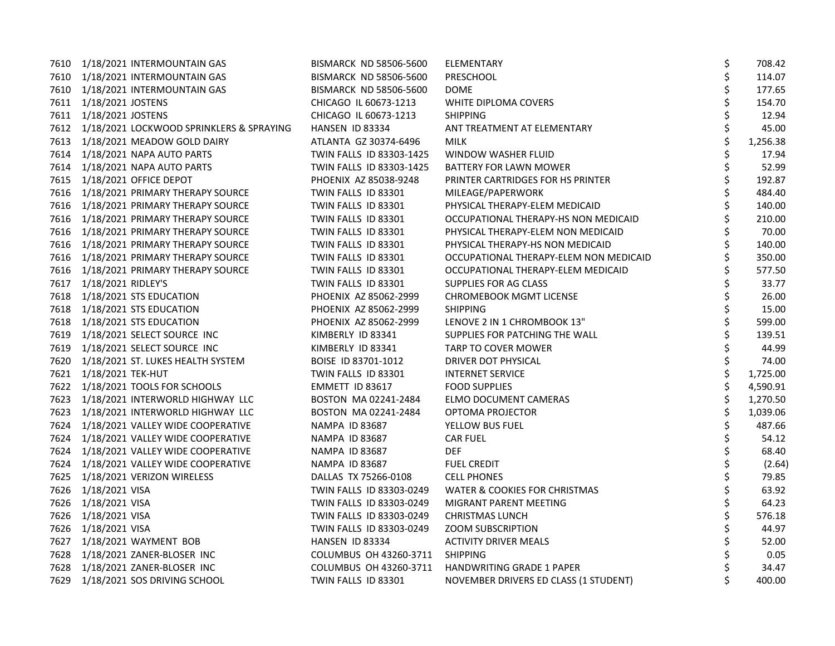|      | 7610 1/18/2021 INTERMOUNTAIN GAS              | BISMARCK ND 58506-5600        | ELEMENTARY                               | \$ | 708.42   |
|------|-----------------------------------------------|-------------------------------|------------------------------------------|----|----------|
|      | 7610 1/18/2021 INTERMOUNTAIN GAS              | BISMARCK ND 58506-5600        | PRESCHOOL                                | \$ | 114.07   |
|      | 7610 1/18/2021 INTERMOUNTAIN GAS              | <b>BISMARCK ND 58506-5600</b> | <b>DOME</b>                              | \$ | 177.65   |
|      | 7611 1/18/2021 JOSTENS                        | CHICAGO IL 60673-1213         | WHITE DIPLOMA COVERS                     | \$ | 154.70   |
|      | 7611 1/18/2021 JOSTENS                        | CHICAGO IL 60673-1213         | <b>SHIPPING</b>                          | \$ | 12.94    |
|      | 7612 1/18/2021 LOCKWOOD SPRINKLERS & SPRAYING | HANSEN ID 83334               | ANT TREATMENT AT ELEMENTARY              | \$ | 45.00    |
|      | 7613 1/18/2021 MEADOW GOLD DAIRY              | ATLANTA GZ 30374-6496         | <b>MILK</b>                              | \$ | 1,256.38 |
|      | 7614 1/18/2021 NAPA AUTO PARTS                | TWIN FALLS ID 83303-1425      | WINDOW WASHER FLUID                      | \$ | 17.94    |
|      | 7614 1/18/2021 NAPA AUTO PARTS                | TWIN FALLS ID 83303-1425      | BATTERY FOR LAWN MOWER                   | \$ | 52.99    |
|      | 7615 1/18/2021 OFFICE DEPOT                   | PHOENIX AZ 85038-9248         | PRINTER CARTRIDGES FOR HS PRINTER        | \$ | 192.87   |
|      | 7616 1/18/2021 PRIMARY THERAPY SOURCE         | TWIN FALLS ID 83301           | MILEAGE/PAPERWORK                        |    | 484.40   |
|      | 7616 1/18/2021 PRIMARY THERAPY SOURCE         | TWIN FALLS ID 83301           | PHYSICAL THERAPY-ELEM MEDICAID           |    | 140.00   |
|      | 7616 1/18/2021 PRIMARY THERAPY SOURCE         | TWIN FALLS ID 83301           | OCCUPATIONAL THERAPY-HS NON MEDICAID     |    | 210.00   |
|      | 7616 1/18/2021 PRIMARY THERAPY SOURCE         | TWIN FALLS ID 83301           | PHYSICAL THERAPY-ELEM NON MEDICAID       |    | 70.00    |
|      | 7616 1/18/2021 PRIMARY THERAPY SOURCE         | TWIN FALLS ID 83301           | PHYSICAL THERAPY-HS NON MEDICAID         | \$ | 140.00   |
|      | 7616 1/18/2021 PRIMARY THERAPY SOURCE         | TWIN FALLS ID 83301           | OCCUPATIONAL THERAPY-ELEM NON MEDICAID   | \$ | 350.00   |
|      | 7616 1/18/2021 PRIMARY THERAPY SOURCE         | TWIN FALLS ID 83301           | OCCUPATIONAL THERAPY-ELEM MEDICAID       |    | 577.50   |
|      | 7617 1/18/2021 RIDLEY'S                       | TWIN FALLS ID 83301           | SUPPLIES FOR AG CLASS                    |    | 33.77    |
|      | 7618 1/18/2021 STS EDUCATION                  | PHOENIX AZ 85062-2999         | <b>CHROMEBOOK MGMT LICENSE</b>           | Ś  | 26.00    |
|      | 7618 1/18/2021 STS EDUCATION                  | PHOENIX AZ 85062-2999         | <b>SHIPPING</b>                          | \$ | 15.00    |
|      | 7618 1/18/2021 STS EDUCATION                  | PHOENIX AZ 85062-2999         | LENOVE 2 IN 1 CHROMBOOK 13"              | \$ | 599.00   |
|      | 7619 1/18/2021 SELECT SOURCE INC              | KIMBERLY ID 83341             | SUPPLIES FOR PATCHING THE WALL           | \$ | 139.51   |
|      | 7619 1/18/2021 SELECT SOURCE INC              | KIMBERLY ID 83341             | TARP TO COVER MOWER                      |    | 44.99    |
|      | 7620 1/18/2021 ST. LUKES HEALTH SYSTEM        | BOISE ID 83701-1012           | DRIVER DOT PHYSICAL                      | \$ | 74.00    |
|      | 7621 1/18/2021 TEK-HUT                        | TWIN FALLS ID 83301           | <b>INTERNET SERVICE</b>                  | \$ | 1,725.00 |
|      | 7622 1/18/2021 TOOLS FOR SCHOOLS              | EMMETT ID 83617               | <b>FOOD SUPPLIES</b>                     | \$ | 4,590.91 |
|      | 7623 1/18/2021 INTERWORLD HIGHWAY LLC         | BOSTON MA 02241-2484          | ELMO DOCUMENT CAMERAS                    | \$ | 1,270.50 |
|      | 7623 1/18/2021 INTERWORLD HIGHWAY LLC         | BOSTON MA 02241-2484          | OPTOMA PROJECTOR                         |    | 1,039.06 |
|      | 7624 1/18/2021 VALLEY WIDE COOPERATIVE        | NAMPA ID 83687                | YELLOW BUS FUEL                          |    | 487.66   |
|      | 7624 1/18/2021 VALLEY WIDE COOPERATIVE        | NAMPA ID 83687                | <b>CAR FUEL</b>                          | \$ | 54.12    |
| 7624 | 1/18/2021 VALLEY WIDE COOPERATIVE             | NAMPA ID 83687                | <b>DEF</b>                               | \$ | 68.40    |
|      | 7624 1/18/2021 VALLEY WIDE COOPERATIVE        | NAMPA ID 83687                | <b>FUEL CREDIT</b>                       | \$ | (2.64)   |
|      | 7625 1/18/2021 VERIZON WIRELESS               | DALLAS TX 75266-0108          | <b>CELL PHONES</b>                       | \$ | 79.85    |
|      | 7626 1/18/2021 VISA                           | TWIN FALLS ID 83303-0249      | <b>WATER &amp; COOKIES FOR CHRISTMAS</b> | \$ | 63.92    |
|      | 7626 1/18/2021 VISA                           | TWIN FALLS ID 83303-0249      | MIGRANT PARENT MEETING                   | \$ | 64.23    |
|      | 7626 1/18/2021 VISA                           | TWIN FALLS ID 83303-0249      | <b>CHRISTMAS LUNCH</b>                   | \$ | 576.18   |
|      | 7626 1/18/2021 VISA                           | TWIN FALLS ID 83303-0249      | <b>ZOOM SUBSCRIPTION</b>                 | \$ | 44.97    |
|      | 7627 1/18/2021 WAYMENT BOB                    | HANSEN ID 83334               | <b>ACTIVITY DRIVER MEALS</b>             | \$ | 52.00    |
|      | 7628 1/18/2021 ZANER-BLOSER INC               | COLUMBUS OH 43260-3711        | <b>SHIPPING</b>                          | \$ | 0.05     |
|      | 7628 1/18/2021 ZANER-BLOSER INC               | COLUMBUS OH 43260-3711        | HANDWRITING GRADE 1 PAPER                |    | 34.47    |
|      | 7629 1/18/2021 SOS DRIVING SCHOOL             | TWIN FALLS ID 83301           | NOVEMBER DRIVERS ED CLASS (1 STUDENT)    | \$ | 400.00   |
|      |                                               |                               |                                          |    |          |